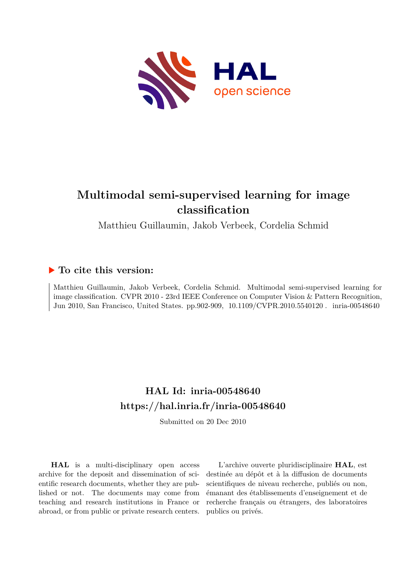

# **Multimodal semi-supervised learning for image classification**

Matthieu Guillaumin, Jakob Verbeek, Cordelia Schmid

# **To cite this version:**

Matthieu Guillaumin, Jakob Verbeek, Cordelia Schmid. Multimodal semi-supervised learning for image classification. CVPR 2010 - 23rd IEEE Conference on Computer Vision & Pattern Recognition, Jun 2010, San Francisco, United States. pp.902-909, 10.1109/CVPR.2010.5540120. inria-00548640

# **HAL Id: inria-00548640 <https://hal.inria.fr/inria-00548640>**

Submitted on 20 Dec 2010

**HAL** is a multi-disciplinary open access archive for the deposit and dissemination of scientific research documents, whether they are published or not. The documents may come from teaching and research institutions in France or abroad, or from public or private research centers.

L'archive ouverte pluridisciplinaire **HAL**, est destinée au dépôt et à la diffusion de documents scientifiques de niveau recherche, publiés ou non, émanant des établissements d'enseignement et de recherche français ou étrangers, des laboratoires publics ou privés.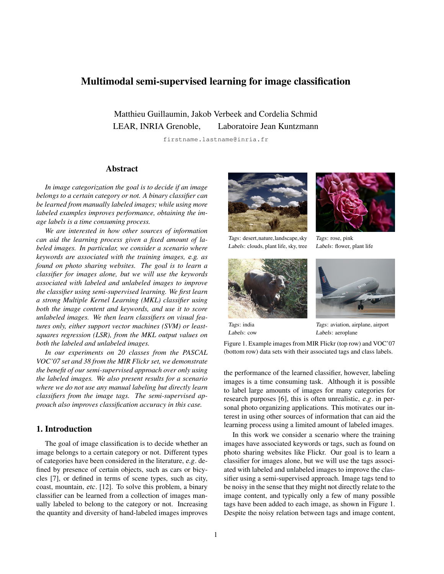# Multimodal semi-supervised learning for image classification

Matthieu Guillaumin, Jakob Verbeek and Cordelia Schmid LEAR, INRIA Grenoble, Laboratoire Jean Kuntzmann

firstname.lastname@inria.fr

# Abstract

*In image categorization the goal is to decide if an image belongs to a certain category or not. A binary classifier can be learned from manually labeled images; while using more labeled examples improves performance, obtaining the image labels is a time consuming process.*

*We are interested in how other sources of information can aid the learning process given a fixed amount of labeled images. In particular, we consider a scenario where keywords are associated with the training images,* e.g*. as found on photo sharing websites. The goal is to learn a classifier for images alone, but we will use the keywords associated with labeled and unlabeled images to improve the classifier using semi-supervised learning. We first learn a strong Multiple Kernel Learning (MKL) classifier using both the image content and keywords, and use it to score unlabeled images. We then learn classifiers on visual features only, either support vector machines (SVM) or leastsquares regression (LSR), from the MKL output values on both the labeled and unlabeled images.*

*In our experiments on 20 classes from the PASCAL VOC'07 set and 38 from the MIR Flickr set, we demonstrate the benefit of our semi-supervised approach over only using the labeled images. We also present results for a scenario where we do not use any manual labeling but directly learn classifiers from the image tags. The semi-supervised approach also improves classification accuracy in this case.*

# 1. Introduction

The goal of image classification is to decide whether an image belongs to a certain category or not. Different types of categories have been considered in the literature, e.g. defined by presence of certain objects, such as cars or bicycles [7], or defined in terms of scene types, such as city, coast, mountain, etc. [12]. To solve this problem, a binary classifier can be learned from a collection of images manually labeled to belong to the category or not. Increasing the quantity and diversity of hand-labeled images improves



Tags: desert,nature,landscape,sky Tags: rose, pink Labels: clouds, plant life, sky, tree Labels: flower, plant life



Labels: cow Labels: aeroplane

Tags: india Tags: aviation, airplane, airport

Figure 1. Example images from MIR Flickr (top row) and VOC'07 (bottom row) data sets with their associated tags and class labels.

the performance of the learned classifier, however, labeling images is a time consuming task. Although it is possible to label large amounts of images for many categories for research purposes [6], this is often unrealistic, e.g. in personal photo organizing applications. This motivates our interest in using other sources of information that can aid the learning process using a limited amount of labeled images.

In this work we consider a scenario where the training images have associated keywords or tags, such as found on photo sharing websites like Flickr. Our goal is to learn a classifier for images alone, but we will use the tags associated with labeled and unlabeled images to improve the classifier using a semi-supervised approach. Image tags tend to be noisy in the sense that they might not directly relate to the image content, and typically only a few of many possible tags have been added to each image, as shown in Figure 1. Despite the noisy relation between tags and image content,



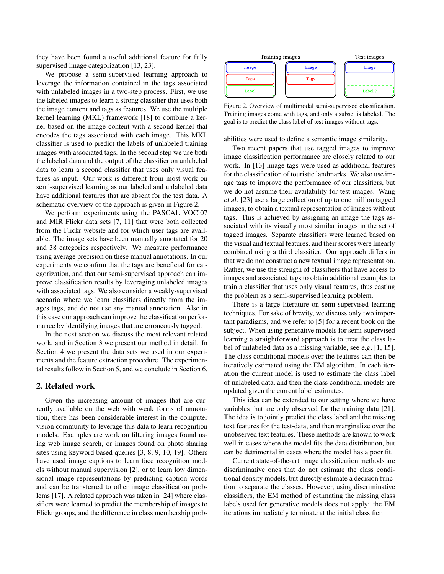they have been found a useful additional feature for fully supervised image categorization [13, 23].

We propose a semi-supervised learning approach to leverage the information contained in the tags associated with unlabeled images in a two-step process. First, we use the labeled images to learn a strong classifier that uses both the image content and tags as features. We use the multiple kernel learning (MKL) framework [18] to combine a kernel based on the image content with a second kernel that encodes the tags associated with each image. This MKL classifier is used to predict the labels of unlabeled training images with associated tags. In the second step we use both the labeled data and the output of the classifier on unlabeled data to learn a second classifier that uses only visual features as input. Our work is different from most work on semi-supervised learning as our labeled and unlabeled data have additional features that are absent for the test data. A schematic overview of the approach is given in Figure 2.

We perform experiments using the PASCAL VOC'07 and MIR Flickr data sets [7, 11] that were both collected from the Flickr website and for which user tags are available. The image sets have been manually annotated for 20 and 38 categories respectively. We measure performance using average precision on these manual annotations. In our experiments we confirm that the tags are beneficial for categorization, and that our semi-supervised approach can improve classification results by leveraging unlabeled images with associated tags. We also consider a weakly-supervised scenario where we learn classifiers directly from the images tags, and do not use any manual annotation. Also in this case our approach can improve the classification performance by identifying images that are erroneously tagged.

In the next section we discuss the most relevant related work, and in Section 3 we present our method in detail. In Section 4 we present the data sets we used in our experiments and the feature extraction procedure. The experimental results follow in Section 5, and we conclude in Section 6.

# 2. Related work

Given the increasing amount of images that are currently available on the web with weak forms of annotation, there has been considerable interest in the computer vision community to leverage this data to learn recognition models. Examples are work on filtering images found using web image search, or images found on photo sharing sites using keyword based queries [3, 8, 9, 10, 19]. Others have used image captions to learn face recognition models without manual supervision [2], or to learn low dimensional image representations by predicting caption words and can be transferred to other image classification problems [17]. A related approach was taken in [24] where classifiers were learned to predict the membership of images to Flickr groups, and the difference in class membership prob-



Figure 2. Overview of multimodal semi-supervised classification. Training images come with tags, and only a subset is labeled. The goal is to predict the class label of test images without tags.

abilities were used to define a semantic image similarity.

Two recent papers that use tagged images to improve image classification performance are closely related to our work. In [13] image tags were used as additional features for the classification of touristic landmarks. We also use image tags to improve the performance of our classifiers, but we do not assume their availability for test images. Wang et al. [23] use a large collection of up to one million tagged images, to obtain a textual representation of images without tags. This is achieved by assigning an image the tags associated with its visually most similar images in the set of tagged images. Separate classifiers were learned based on the visual and textual features, and their scores were linearly combined using a third classifier. Our approach differs in that we do not construct a new textual image representation. Rather, we use the strength of classifiers that have access to images and associated tags to obtain additional examples to train a classifier that uses only visual features, thus casting the problem as a semi-supervised learning problem.

There is a large literature on semi-supervised learning techniques. For sake of brevity, we discuss only two important paradigms, and we refer to [5] for a recent book on the subject. When using generative models for semi-supervised learning a straightforward approach is to treat the class label of unlabeled data as a missing variable, see e.g. [1, 15]. The class conditional models over the features can then be iteratively estimated using the EM algorithm. In each iteration the current model is used to estimate the class label of unlabeled data, and then the class conditional models are updated given the current label estimates.

This idea can be extended to our setting where we have variables that are only observed for the training data [21]. The idea is to jointly predict the class label and the missing text features for the test-data, and then marginalize over the unobserved text features. These methods are known to work well in cases where the model fits the data distribution, but can be detrimental in cases where the model has a poor fit.

Current state-of-the-art image classification methods are discriminative ones that do not estimate the class conditional density models, but directly estimate a decision function to separate the classes. However, using discriminative classifiers, the EM method of estimating the missing class labels used for generative models does not apply: the EM iterations immediately terminate at the initial classifier.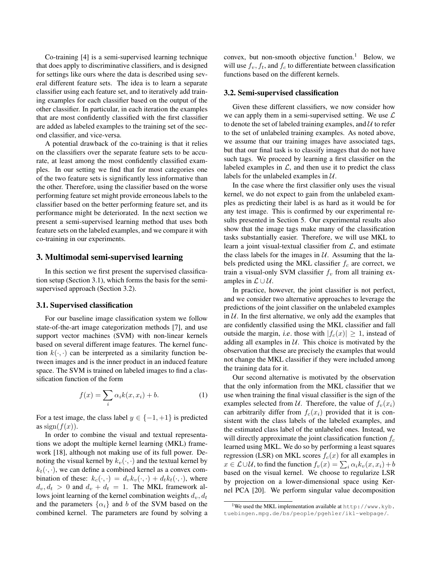Co-training [4] is a semi-supervised learning technique that does apply to discriminative classifiers, and is designed for settings like ours where the data is described using several different feature sets. The idea is to learn a separate classifier using each feature set, and to iteratively add training examples for each classifier based on the output of the other classifier. In particular, in each iteration the examples that are most confidently classified with the first classifier are added as labeled examples to the training set of the second classifier, and vice-versa.

A potential drawback of the co-training is that it relies on the classifiers over the separate feature sets to be accurate, at least among the most confidently classified examples. In our setting we find that for most categories one of the two feature sets is significantly less informative than the other. Therefore, using the classifier based on the worse performing feature set might provide erroneous labels to the classifier based on the better performing feature set, and its performance might be deteriorated. In the next section we present a semi-supervised learning method that uses both feature sets on the labeled examples, and we compare it with co-training in our experiments.

#### 3. Multimodal semi-supervised learning

In this section we first present the supervised classification setup (Section 3.1), which forms the basis for the semisupervised approach (Section 3.2).

#### 3.1. Supervised classification

For our baseline image classification system we follow state-of-the-art image categorization methods [7], and use support vector machines (SVM) with non-linear kernels based on several different image features. The kernel function  $k(\cdot, \cdot)$  can be interpreted as a similarity function between images and is the inner product in an induced feature space. The SVM is trained on labeled images to find a classification function of the form

$$
f(x) = \sum_{i} \alpha_i k(x, x_i) + b.
$$
 (1)

For a test image, the class label  $y \in \{-1, +1\}$  is predicted as sign $(f(x))$ .

In order to combine the visual and textual representations we adopt the multiple kernel learning (MKL) framework [18], although not making use of its full power. Denoting the visual kernel by  $k_v(\cdot, \cdot)$  and the textual kernel by  $k_t(\cdot, \cdot)$ , we can define a combined kernel as a convex combination of these:  $k_c(\cdot, \cdot) = d_v k_v(\cdot, \cdot) + d_t k_t(\cdot, \cdot)$ , where  $d_v, d_t > 0$  and  $d_v + d_t = 1$ . The MKL framework allows joint learning of the kernel combination weights  $d_v, d_t$ and the parameters  $\{\alpha_i\}$  and b of the SVM based on the combined kernel. The parameters are found by solving a convex, but non-smooth objective function.<sup>1</sup> Below, we will use  $f_v, f_t$ , and  $f_c$  to differentiate between classification functions based on the different kernels.

#### 3.2. Semi-supervised classification

Given these different classifiers, we now consider how we can apply them in a semi-supervised setting. We use  $\mathcal L$ to denote the set of labeled training examples, and  $U$  to refer to the set of unlabeled training examples. As noted above, we assume that our training images have associated tags, but that our final task is to classify images that do not have such tags. We proceed by learning a first classifier on the labeled examples in  $\mathcal{L}$ , and then use it to predict the class labels for the unlabeled examples in  $U$ .

In the case where the first classifier only uses the visual kernel, we do not expect to gain from the unlabeled examples as predicting their label is as hard as it would be for any test image. This is confirmed by our experimental results presented in Section 5. Our experimental results also show that the image tags make many of the classification tasks substantially easier. Therefore, we will use MKL to learn a joint visual-textual classifier from  $\mathcal{L}$ , and estimate the class labels for the images in  $U$ . Assuming that the labels predicted using the MKL classifier  $f_c$  are correct, we train a visual-only SVM classifier  $f_v$  from all training examples in  $\mathcal{L} \cup \mathcal{U}$ .

In practice, however, the joint classifier is not perfect, and we consider two alternative approaches to leverage the predictions of the joint classifier on the unlabeled examples in  $U$ . In the first alternative, we only add the examples that are confidently classified using the MKL classifier and fall outside the margin, *i.e.* those with  $|f_c(x)| \geq 1$ , instead of adding all examples in  $U$ . This choice is motivated by the observation that these are precisely the examples that would not change the MKL classifier if they were included among the training data for it.

Our second alternative is motivated by the observation that the only information from the MKL classifier that we use when training the final visual classifier is the sign of the examples selected from U. Therefore, the value of  $f_v(x_i)$ can arbitrarily differ from  $f_c(x_i)$  provided that it is consistent with the class labels of the labeled examples, and the estimated class label of the unlabeled ones. Instead, we will directly approximate the joint classification function  $f_c$ learned using MKL. We do so by performing a least squares regression (LSR) on MKL scores  $f_c(x)$  for all examples in  $x \in \mathcal{L} \cup \mathcal{U}$ , to find the function  $f_v(x) = \sum_i \alpha_i k_v(x, x_i) + b$ based on the visual kernel. We choose to regularize LSR by projection on a lower-dimensional space using Kernel PCA [20]. We perform singular value decomposition

<sup>1</sup>We used the MKL implementation available at http://www.kyb. tuebingen.mpg.de/bs/people/pgehler/ikl-webpage/.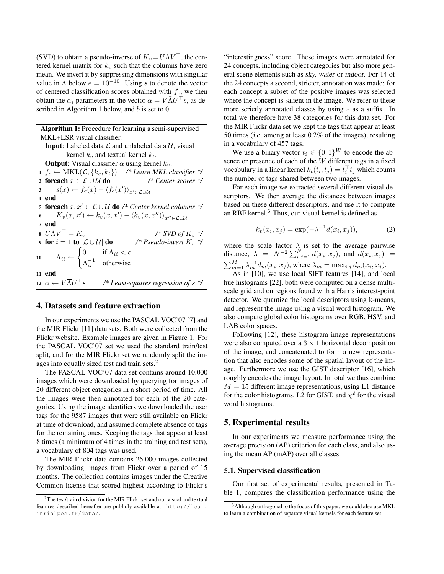(SVD) to obtain a pseudo-inverse of  $K_v = U \Lambda V^{\top}$ , the centered kernel matrix for  $k_v$  such that the columns have zero mean. We invert it by suppressing dimensions with singular value in  $\Lambda$  below  $\epsilon = 10^{-10}$ . Using s to denote the vector of centered classification scores obtained with  $f_c$ , we then obtain the  $\alpha_i$  parameters in the vector  $\alpha = V \overline{\Lambda} \overline{U}^{\top} s$ , as described in Algorithm 1 below, and b is set to 0.

| Algorithm 1: Procedure for learning a semi-supervised                                                                                            |  |  |  |  |  |  |  |  |  |  |
|--------------------------------------------------------------------------------------------------------------------------------------------------|--|--|--|--|--|--|--|--|--|--|
| MKL+LSR visual classifier.                                                                                                                       |  |  |  |  |  |  |  |  |  |  |
| <b>Input:</b> Labeled data $\mathcal L$ and unlabeled data $\mathcal U$ , visual                                                                 |  |  |  |  |  |  |  |  |  |  |
| kernel $k_v$ and textual kernel $k_t$ .                                                                                                          |  |  |  |  |  |  |  |  |  |  |
| <b>Output</b> : Visual classifier $\alpha$ using kernel $k_v$ .                                                                                  |  |  |  |  |  |  |  |  |  |  |
| $1 f_c \leftarrow \text{MKL}(\mathcal{L}, \{k_v, k_t\})$ /* Learn MKL classifier */                                                              |  |  |  |  |  |  |  |  |  |  |
| /* Center scores */<br>2 foreach $x \in \mathcal{L} \cup \mathcal{U}$ do                                                                         |  |  |  |  |  |  |  |  |  |  |
| $3 \mid s(x) \leftarrow f_c(x) - \langle f_c(x') \rangle_{x' \in \mathcal{L} \cup \mathcal{U}}$                                                  |  |  |  |  |  |  |  |  |  |  |
| 4 end                                                                                                                                            |  |  |  |  |  |  |  |  |  |  |
| 5 foreach $x, x' \in \mathcal{L} \cup \mathcal{U}$ do /* Center kernel columns */                                                                |  |  |  |  |  |  |  |  |  |  |
| 6 $K_v(x, x') \leftarrow k_v(x, x') - \langle k_v(x, x'') \rangle_{x'' \in \mathcal{L} \cup \mathcal{U}}$                                        |  |  |  |  |  |  |  |  |  |  |
| 7 end                                                                                                                                            |  |  |  |  |  |  |  |  |  |  |
| 8 $U\Lambda V^{\top} = K_{v}$<br>/* SVD of $K_v$ */                                                                                              |  |  |  |  |  |  |  |  |  |  |
| <b>o</b> $U \Lambda V = \Lambda v$<br><b>9</b> for $i = 1$ to $ L \cup U $ do $A^*$ <i>Pseudo-invert</i> $K_v$ */                                |  |  |  |  |  |  |  |  |  |  |
|                                                                                                                                                  |  |  |  |  |  |  |  |  |  |  |
| 10 $\overline{\Lambda}_{ii} \leftarrow \begin{cases} 0 & \text{if } \Lambda_{ii} < \epsilon \\ \Lambda_{ii}^{-1} & \text{otherwise} \end{cases}$ |  |  |  |  |  |  |  |  |  |  |
|                                                                                                                                                  |  |  |  |  |  |  |  |  |  |  |
| 11 end                                                                                                                                           |  |  |  |  |  |  |  |  |  |  |
| 12 $\alpha \leftarrow V \overline{\Lambda} U^\top s$<br>/* Least-squares regression of $s \sqrt{*}$ /                                            |  |  |  |  |  |  |  |  |  |  |

### 4. Datasets and feature extraction

In our experiments we use the PASCAL VOC'07 [7] and the MIR Flickr [11] data sets. Both were collected from the Flickr website. Example images are given in Figure 1. For the PASCAL VOC'07 set we used the standard train/test split, and for the MIR Flickr set we randomly split the images into equally sized test and train sets.<sup>2</sup>

The PASCAL VOC'07 data set contains around 10.000 images which were downloaded by querying for images of 20 different object categories in a short period of time. All the images were then annotated for each of the 20 categories. Using the image identifiers we downloaded the user tags for the 9587 images that were still available on Flickr at time of download, and assumed complete absence of tags for the remaining ones. Keeping the tags that appear at least 8 times (a minimum of 4 times in the training and test sets), a vocabulary of 804 tags was used.

The MIR Flickr data contains 25.000 images collected by downloading images from Flickr over a period of 15 months. The collection contains images under the Creative Common license that scored highest according to Flickr's "interestingness" score. These images were annotated for 24 concepts, including object categories but also more general scene elements such as sky, water or indoor. For 14 of the 24 concepts a second, stricter, annotation was made: for each concept a subset of the positive images was selected where the concept is salient in the image. We refer to these more scrictly annotated classes by using ∗ as a suffix. In total we therefore have 38 categories for this data set. For the MIR Flickr data set we kept the tags that appear at least 50 times (i.e. among at least 0.2% of the images), resulting in a vocabulary of 457 tags.

We use a binary vector  $t_i \in \{0,1\}^W$  to encode the absence or presence of each of the  $W$  different tags in a fixed vocabulary in a linear kernel  $k_t(t_i, t_j) = t_i^{\top} t_j$  which counts the number of tags shared between two images.

For each image we extracted several different visual descriptors. We then average the distances between images based on these different descriptors, and use it to compute an RBF kernel.<sup>3</sup> Thus, our visual kernel is defined as

$$
k_v(x_i, x_j) = \exp(-\lambda^{-1}d(x_i, x_j)),\tag{2}
$$

where the scale factor  $\lambda$  is set to the average pairwise distance,  $\lambda = N^{-2} \sum_{i,j=1}^{N} d(x_i, x_j)$ , and  $\overline{d(x_i, x_j)}$  $\sum_{m=1}^{M} \lambda_m^{-1} d_m(x_i, x_j)$ , where  $\lambda_m = \max_{i,j} d_m(x_i, x_j)$ .

As in [10], we use local SIFT features [14], and local hue histograms [22], both were computed on a dense multiscale grid and on regions found with a Harris interest-point detector. We quantize the local descriptors using k-means, and represent the image using a visual word histogram. We also compute global color histograms over RGB, HSV, and LAB color spaces.

Following [12], these histogram image representations were also computed over a  $3 \times 1$  horizontal decomposition of the image, and concatenated to form a new representation that also encodes some of the spatial layout of the image. Furthermore we use the GIST descriptor [16], which roughly encodes the image layout. In total we thus combine  $M = 15$  different image representations, using L1 distance for the color histograms, L2 for GIST, and  $\chi^2$  for the visual word histograms.

# 5. Experimental results

In our experiments we measure performance using the average precision (AP) criterion for each class, and also using the mean AP (mAP) over all classes.

#### 5.1. Supervised classification

Our first set of experimental results, presented in Table 1, compares the classification performance using the

<sup>&</sup>lt;sup>2</sup>The test/train division for the MIR Flickr set and our visual and textual features described hereafter are publicly available at: http://lear. inrialpes.fr/data/.

<sup>&</sup>lt;sup>3</sup>Although orthogonal to the focus of this paper, we could also use MKL to learn a combination of separate visual kernels for each feature set.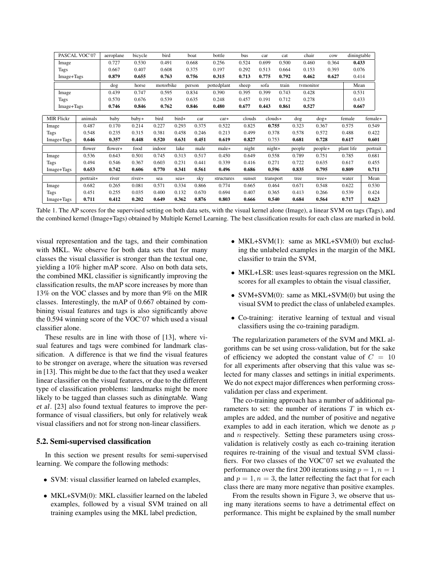|            |                   | PASCAL VOC'07 | aeroplane | bicycle | bird      |       | boat   | bottle      | bus    | car       | cat   |        | chair<br>cow   | diningtable |          |  |
|------------|-------------------|---------------|-----------|---------|-----------|-------|--------|-------------|--------|-----------|-------|--------|----------------|-------------|----------|--|
|            | Image             |               | 0.727     | 0.530   | 0.491     |       | 0.668  | 0.256       | 0.524  | 0.699     | 0.500 |        | 0.460<br>0.364 | 0.433       |          |  |
| Tags       |                   |               | 0.667     | 0.407   | 0.608     |       | 0.375  | 0.197       | 0.292  | 0.513     | 0.664 |        | 0.153<br>0.393 | 0.076       |          |  |
|            | Image+Tags        |               | 0.879     | 0.655   | 0.763     |       | 0.756  | 0.315       | 0.713  | 0.775     | 0.792 |        | 0.462<br>0.627 | 0.414       |          |  |
|            |                   |               | dog       | horse   | motorbike |       | person | pottedplant | sheep  | sofa      | train |        | tymonitor      | Mean        |          |  |
|            | Image             |               | 0.439     | 0.747   | 0.595     |       | 0.834  | 0.390       | 0.395  | 0.399     | 0.743 |        | 0.428          | 0.531       |          |  |
|            | Tags              |               | 0.570     | 0.676   | 0.539     |       | 0.635  | 0.248       | 0.457  | 0.191     | 0.712 |        | 0.278          | 0.433       |          |  |
|            | Image+Tags        |               | 0.746     | 0.846   | 0.762     |       | 0.846  | 0.480       | 0.677  | 0.443     | 0.861 |        | 0.527          | 0.667       |          |  |
|            |                   |               |           |         |           |       |        |             |        |           |       |        |                |             |          |  |
|            | <b>MIR Flickr</b> | animals       | baby      | baby*   | bird      | bird* | car    | $car*$      | clouds | $clouds*$ |       | dog    | $dog*$         | female      | female*  |  |
| Image      |                   | 0.487         | 0.170     | 0.214   | 0.227     | 0.293 | 0.375  | 0.522       | 0.825  | 0.755     |       | 0.323  | 0.367          | 0.575       | 0.549    |  |
| Tags       |                   | 0.548         | 0.235     | 0.315   | 0.381     | 0.458 | 0.246  | 0.213       | 0.499  | 0.378     |       | 0.578  | 0.572          | 0.488       | 0.422    |  |
|            | Image+Tags        | 0.646         | 0.357     | 0.448   | 0.520     | 0.631 | 0.451  | 0.619       | 0.827  | 0.753     |       | 0.681  | 0.728          | 0.617       | 0.601    |  |
|            |                   | flower        | flower*   | food    | indoor    | lake  | male   | male*       | night  | night*    |       | people | people*        | plant life  | portrait |  |
| Image      |                   | 0.536         | 0.643     | 0.501   | 0.745     | 0.313 | 0.517  | 0.450       | 0.649  | 0.558     |       | 0.789  | 0.751          | 0.785       | 0.681    |  |
| Tags       |                   | 0.494         | 0.546     | 0.367   | 0.603     | 0.231 | 0.441  | 0.339       | 0.416  | 0.271     |       | 0.722  | 0.635          | 0.617       | 0.455    |  |
|            | Image+Tags        | 0.653         | 0.742     | 0.606   | 0.770     | 0.341 | 0.561  | 0.496       | 0.686  | 0.596     |       | 0.835  | 0.795          | 0.809       | 0.711    |  |
|            |                   | portrait*     | river     | river*  | sea       | sea*  | sky    | structures  | sunset | transport |       | tree   | tree*          | water       | Mean     |  |
| Image      |                   | 0.682         | 0.265     | 0.081   | 0.571     | 0.334 | 0.866  | 0.774       | 0.665  | 0.464     |       | 0.671  | 0.548          | 0.622       | 0.530    |  |
| Tags       |                   | 0.451         | 0.255     | 0.035   | 0.400     | 0.132 | 0.670  | 0.694       | 0.407  | 0.365     |       | 0.413  | 0.266          | 0.539       | 0.424    |  |
| Image+Tags |                   | 0.711         | 0.412     | 0.202   | 0.649     | 0.362 | 0.876  | 0.803       | 0.666  | 0.540     |       | 0.684  | 0.564          | 0.717       | 0.623    |  |

Table 1. The AP scores for the supervised setting on both data sets, with the visual kernel alone (Image), a linear SVM on tags (Tags), and the combined kernel (Image+Tags) obtained by Multiple Kernel Learning. The best classification results for each class are marked in bold.

visual representation and the tags, and their combination with MKL. We observe for both data sets that for many classes the visual classifier is stronger than the textual one, yielding a 10% higher mAP score. Also on both data sets, the combined MKL classifier is significantly improving the classification results, the mAP score increases by more than 13% on the VOC classes and by more than 9% on the MIR classes. Interestingly, the mAP of 0.667 obtained by combining visual features and tags is also significantly above the 0.594 winning score of the VOC'07 which used a visual classifier alone.

These results are in line with those of [13], where visual features and tags were combined for landmark classification. A difference is that we find the visual features to be stronger on average, where the situation was reversed in [13]. This might be due to the fact that they used a weaker linear classifier on the visual features, or due to the different type of classification problems: landmarks might be more likely to be tagged than classes such as diningtable. Wang et al. [23] also found textual features to improve the performance of visual classifiers, but only for relatively weak visual classifiers and not for strong non-linear classifiers.

### 5.2. Semi-supervised classification

In this section we present results for semi-supervised learning. We compare the following methods:

- SVM: visual classifier learned on labeled examples,
- MKL+SVM(0): MKL classifier learned on the labeled examples, followed by a visual SVM trained on all training examples using the MKL label prediction,
- MKL+SVM(1): same as MKL+SVM(0) but excluding the unlabeled examples in the margin of the MKL classifier to train the SVM,
- MKL+LSR: uses least-squares regression on the MKL scores for all examples to obtain the visual classifier,
- SVM+SVM(0): same as MKL+SVM(0) but using the visual SVM to predict the class of unlabeled examples.
- Co-training: iterative learning of textual and visual classifiers using the co-training paradigm.

The regularization parameters of the SVM and MKL algorithms can be set using cross-validation, but for the sake of efficiency we adopted the constant value of  $C = 10$ for all experiments after observing that this value was selected for many classes and settings in initial experiments. We do not expect major differences when performing crossvalidation per class and experiment.

The co-training approach has a number of additional parameters to set: the number of iterations  $T$  in which examples are added, and the number of positive and negative examples to add in each iteration, which we denote as  $p$ and *n* respectively. Setting these parameters using crossvalidation is relatively costly as each co-training iteration requires re-training of the visual and textual SVM classifiers. For two classes of the VOC'07 set we evaluated the performance over the first 200 iterations using  $p = 1, n = 1$ and  $p = 1, n = 3$ , the latter reflecting the fact that for each class there are many more negative than positive examples.

From the results shown in Figure 3, we observe that using many iterations seems to have a detrimental effect on performance. This might be explained by the small number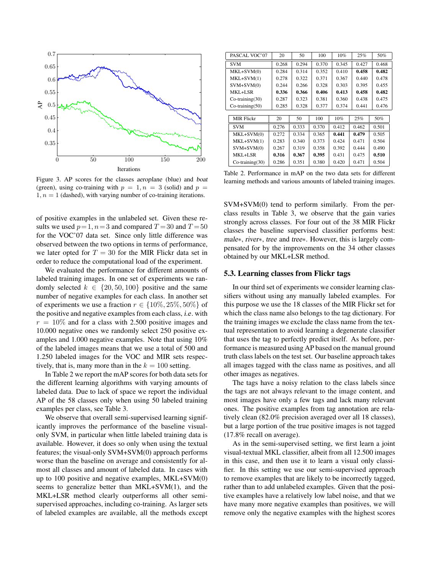

Figure 3. AP scores for the classes aeroplane (blue) and boat (green), using co-training with  $p = 1, n = 3$  (solid) and  $p =$  $1, n = 1$  (dashed), with varying number of co-training iterations.

of positive examples in the unlabeled set. Given these results we used  $p=1, n=3$  and compared  $T = 30$  and  $T = 50$ for the VOC'07 data set. Since only little difference was observed between the two options in terms of performance, we later opted for  $T = 30$  for the MIR Flickr data set in order to reduce the computational load of the experiment.

We evaluated the performance for different amounts of labeled training images. In one set of experiments we randomly selected  $k \in \{20, 50, 100\}$  positive and the same number of negative examples for each class. In another set of experiments we use a fraction  $r \in \{10\%, 25\%, 50\%\}$  of the positive and negative examples from each class, i.e. with  $r = 10\%$  and for a class with 2.500 positive images and 10.000 negative ones we randomly select 250 positive examples and 1.000 negative examples. Note that using 10% of the labeled images means that we use a total of 500 and 1.250 labeled images for the VOC and MIR sets respectively, that is, many more than in the  $k = 100$  setting.

In Table 2 we report the mAP scores for both data sets for the different learning algorithms with varying amounts of labeled data. Due to lack of space we report the individual AP of the 58 classes only when using 50 labeled training examples per class, see Table 3.

We observe that overall semi-supervised learning significantly improves the performance of the baseline visualonly SVM, in particular when little labeled training data is available. However, it does so only when using the textual features; the visual-only SVM+SVM(0) approach performs worse than the baseline on average and consistently for almost all classes and amount of labeled data. In cases with up to 100 positive and negative examples, MKL+SVM(0) seems to generalize better than MKL+SVM(1), and the MKL+LSR method clearly outperforms all other semisupervised approaches, including co-training. As larger sets of labeled examples are available, all the methods except

| PASCAL VOC'07     | 20    | 50    | 100   | 10%   | 25%   | 50%   |
|-------------------|-------|-------|-------|-------|-------|-------|
| <b>SVM</b>        | 0.268 | 0.294 | 0.370 | 0.345 | 0.427 | 0.468 |
| $MKL+SVM(0)$      | 0.284 | 0.314 | 0.352 | 0.410 | 0.458 | 0.482 |
| $MKL+SVM(1)$      | 0.278 | 0.322 | 0.371 | 0.367 | 0.440 | 0.478 |
| $SVM+SVM(0)$      | 0.244 | 0.266 | 0.328 | 0.303 | 0.395 | 0.455 |
| MKL+LSR           | 0.336 | 0.366 | 0.406 | 0.413 | 0.458 | 0.482 |
| $Co-training(30)$ | 0.287 | 0.323 | 0.381 | 0.360 | 0.438 | 0.475 |
| $Co-training(50)$ | 0.285 | 0.328 | 0.377 | 0.374 | 0.441 | 0.476 |
|                   |       |       |       |       |       |       |
| <b>MIR Flickr</b> | 20    | 50    | 100   | 10%   | 25%   | 50%   |
| <b>SVM</b>        | 0.276 | 0.333 | 0.370 | 0.412 | 0.462 | 0.501 |
| $MKL+SVM(0)$      | 0.272 | 0.334 | 0.365 | 0.441 | 0.479 | 0.505 |
| $MKL+SVM(1)$      | 0.283 | 0.340 | 0.373 | 0.424 | 0.471 | 0.504 |
| $SVM+SVM(0)$      | 0.267 | 0.319 | 0.358 | 0.392 | 0.444 | 0.490 |
| MKL+LSR           | 0.316 | 0.367 | 0.395 | 0.431 | 0.475 | 0.510 |
| $Co-training(30)$ | 0.286 | 0.351 | 0.380 | 0.420 | 0.471 | 0.504 |

Table 2. Performance in mAP on the two data sets for different learning methods and various amounts of labeled training images.

SVM+SVM(0) tend to perform similarly. From the perclass results in Table 3, we observe that the gain varies strongly across classes. For four out of the 38 MIR Flickr classes the baseline supervised classifier performs best: male∗, river∗, tree and tree∗. However, this is largely compensated for by the improvements on the 34 other classes obtained by our MKL+LSR method.

#### 5.3. Learning classes from Flickr tags

In our third set of experiments we consider learning classifiers without using any manually labeled examples. For this purpose we use the 18 classes of the MIR Flickr set for which the class name also belongs to the tag dictionary. For the training images we exclude the class name from the textual representation to avoid learning a degenerate classifier that uses the tag to perfectly predict itself. As before, performance is measured using AP based on the manual ground truth class labels on the test set. Our baseline approach takes all images tagged with the class name as positives, and all other images as negatives.

The tags have a noisy relation to the class labels since the tags are not always relevant to the image content, and most images have only a few tags and lack many relevant ones. The positive examples from tag annotation are relatively clean (82.0% precision averaged over all 18 classes), but a large portion of the true positive images is not tagged (17.8% recall on average).

As in the semi-supervised setting, we first learn a joint visual-textual MKL classifier, albeit from all 12.500 images in this case, and then use it to learn a visual only classifier. In this setting we use our semi-supervised approach to remove examples that are likely to be incorrectly tagged, rather than to add unlabeled examples. Given that the positive examples have a relatively low label noise, and that we have many more negative examples than positives, we will remove only the negative examples with the highest scores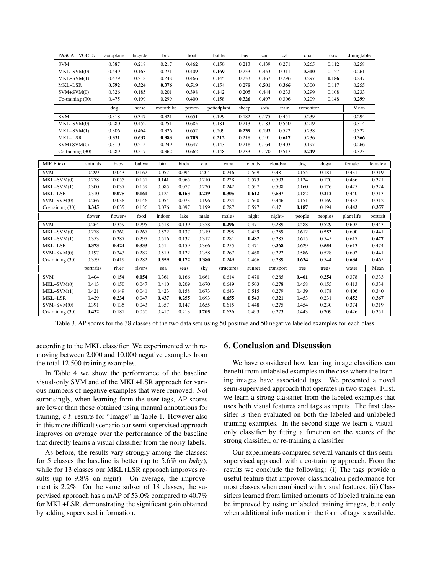|                   | PASCAL VOC'07    |              | aeroplane | bicycle | bird      | boat   |       | bottle      | bus   | car    | cat       | chair     | cow     | diningtable |          |
|-------------------|------------------|--------------|-----------|---------|-----------|--------|-------|-------------|-------|--------|-----------|-----------|---------|-------------|----------|
|                   | <b>SVM</b>       |              | 0.387     | 0.218   | 0.217     | 0.462  |       | 0.150       | 0.213 | 0.439  | 0.271     | 0.265     | 0.112   | 0.258       |          |
|                   | $MKL+SVM(0)$     |              | 0.549     | 0.163   | 0.271     | 0.409  |       | 0.169       | 0.253 | 0.453  | 0.311     | 0.310     | 0.127   | 0.261       |          |
|                   | $MKL+SVM(1)$     |              | 0.479     | 0.218   | 0.248     | 0.466  |       | 0.145       | 0.233 | 0.467  | 0.296     | 0.297     | 0.186   | 0.247       |          |
|                   | MKL+LSR          |              | 0.592     | 0.324   | 0.376     | 0.519  |       | 0.154       | 0.278 | 0.501  | 0.366     | 0.300     | 0.117   | 0.255       |          |
|                   |                  | $SVM+SVM(0)$ |           | 0.185   | 0.201     | 0.398  |       | 0.142       | 0.205 | 0.444  | 0.233     | 0.299     | 0.108   | 0.233       |          |
|                   | Co-training (30) |              | 0.475     | 0.199   | 0.299     | 0.400  |       | 0.158       | 0.326 | 0.497  | 0.306     | 0.209     | 0.148   | 0.299       |          |
|                   |                  |              | dog       | horse   | motorbike | person |       | pottedplant | sheep | sofa   | train     | tvmonitor |         | Mean        |          |
|                   | <b>SVM</b>       |              | 0.318     | 0.347   | 0.321     | 0.651  |       | 0.199       | 0.182 | 0.175  | 0.451     | 0.239     |         | 0.294       |          |
|                   | $MKL+SVM(0)$     |              | 0.280     | 0.452   | 0.251     | 0.685  |       | 0.181       | 0.213 | 0.183  | 0.550     | 0.219     |         | 0.314       |          |
|                   | $MKL+SVM(1)$     |              | 0.306     | 0.464   | 0.326     | 0.652  |       | 0.209       | 0.239 | 0.193  | 0.522     | 0.238     |         | 0.322       |          |
|                   | MKL+LSR          |              | 0.331     | 0.637   | 0.383     | 0.703  |       | 0.212       | 0.218 | 0.191  | 0.617     | 0.236     |         | 0.366       |          |
|                   | $SVM+SVM(0)$     |              | 0.310     | 0.215   | 0.249     | 0.647  |       | 0.143       | 0.218 | 0.164  | 0.403     | 0.197     |         | 0.266       |          |
|                   | Co-training (30) |              | 0.289     | 0.517   | 0.362     | 0.662  |       | 0.148       | 0.233 | 0.170  | 0.517     | 0.249     |         | 0.323       |          |
|                   |                  |              |           |         |           |        |       |             |       |        |           |           |         |             |          |
| <b>MIR Flickr</b> |                  | animals      | baby      | baby*   | bird      | bird*  | car   | car*        |       | clouds | clouds*   | dog       | $dog*$  | female      | female*  |
| <b>SVM</b>        |                  | 0.299        | 0.043     | 0.162   | 0.057     | 0.094  | 0.204 | 0.246       |       | 0.569  | 0.481     | 0.155     | 0.181   | 0.431       | 0.319    |
|                   | MKL+SVM(0)       | 0.278        | 0.055     | 0.151   | 0.141     | 0.065  | 0.210 | 0.228       |       | 0.573  | 0.503     | 0.124     | 0.170   | 0.436       | 0.321    |
|                   | MKL+SVM(1)       | 0.300        | 0.037     | 0.159   | 0.085     | 0.077  | 0.220 | 0.242       |       | 0.597  | 0.508     | 0.160     | 0.176   | 0.425       | 0.324    |
| MKL+LSR           |                  | 0.310        | 0.075     | 0.161   | 0.124     | 0.163  | 0.229 | 0.305       |       | 0.612  | 0.537     | 0.182     | 0.212   | 0.440       | 0.313    |
|                   | $SVM+SVM(0)$     | 0.266        | 0.038     | 0.146   | 0.054     | 0.073  | 0.196 | 0.224       |       | 0.560  | 0.446     | 0.151     | 0.169   | 0.432       | 0.312    |
|                   | Co-training (30) | 0.345        | 0.035     | 0.136   | 0.076     | 0.097  | 0.199 | 0.287       |       | 0.597  | 0.471     | 0.187     | 0.194   | 0.443       | 0.357    |
|                   |                  | flower       | flower*   | food    | indoor    | lake   | male  | male*       |       | night  | night*    | people    | people* | plant life  | portrait |
| <b>SVM</b>        |                  | 0.264        | 0.359     | 0.295   | 0.518     | 0.139  | 0.358 | 0.296       |       | 0.471  | 0.289     | 0.588     | 0.529   | 0.602       | 0.443    |
|                   | MKL+SVM(0)       | 0.278        | 0.360     | 0.267   | 0.522     | 0.137  | 0.319 | 0.295       |       | 0.439  | 0.259     | 0.612     | 0.553   | 0.600       | 0.441    |
|                   | $MKL+SVM(1)$     | 0.353        | 0.387     | 0.297   | 0.516     | 0.132  | 0.312 | 0.281       |       | 0.482  | 0.285     | 0.615     | 0.545   | 0.617       | 0.477    |
| MKL+LSR           |                  | 0.373        | 0.424     | 0.333   | 0.514     | 0.159  | 0.366 | 0.255       |       | 0.471  | 0.368     | 0.629     | 0.554   | 0.613       | 0.474    |
|                   | $SVM+SVM(0)$     | 0.197        | 0.343     | 0.289   | 0.519     | 0.122  | 0.358 | 0.267       |       | 0.460  | 0.222     | 0.586     | 0.528   | 0.602       | 0.441    |
|                   | Co-training (30) | 0.359        | 0.419     | 0.282   | 0.559     | 0.172  | 0.380 | 0.249       |       | 0.466  | 0.289     | 0.634     | 0.544   | 0.634       | 0.465    |
|                   |                  | portrait*    | river     | river*  | sea       | sea*   | sky   | structures  |       | sunset | transport | tree      | tree*   | water       | Mean     |
| <b>SVM</b>        |                  | 0.404        | 0.154     | 0.054   | 0.361     | 0.166  | 0.661 | 0.614       |       | 0.470  | 0.285     | 0.461     | 0.254   | 0.378       | 0.333    |
|                   | $MKL+SVM(0)$     | 0.413        | 0.150     | 0.047   | 0.410     | 0.209  | 0.670 | 0.649       |       | 0.503  | 0.278     | 0.458     | 0.155   | 0.413       | 0.334    |
|                   | $MKL+SVM(1)$     | 0.421        | 0.149     | 0.041   | 0.423     | 0.158  | 0.673 | 0.643       |       | 0.515  | 0.279     | 0.439     | 0.178   | 0.406       | 0.340    |
| MKL+LSR           |                  | 0.429        | 0.234     | 0.047   | 0.437     | 0.255  | 0.693 | 0.655       |       | 0.543  | 0.321     | 0.453     | 0.231   | 0.452       | 0.367    |
|                   | $SVM+SVM(0)$     | 0.391        | 0.135     | 0.043   | 0.357     | 0.147  | 0.655 | 0.615       |       | 0.448  | 0.275     | 0.454     | 0.230   | 0.374       | 0.319    |
|                   | Co-training (30) | 0.432        | 0.181     | 0.050   | 0.417     | 0.213  | 0.705 | 0.636       |       | 0.493  | 0.273     | 0.443     | 0.209   | 0.426       | 0.351    |

Table 3. AP scores for the 38 classes of the two data sets using 50 positive and 50 negative labeled examples for each class.

according to the MKL classifier. We experimented with removing between 2.000 and 10.000 negative examples from the total 12.500 training examples.

In Table 4 we show the performance of the baseline visual-only SVM and of the MKL+LSR approach for various numbers of negative examples that were removed. Not surprisingly, when learning from the user tags, AP scores are lower than those obtained using manual annotations for training, c.f. results for "Image" in Table 1. However also in this more difficult scenario our semi-supervised approach improves on average over the performance of the baseline that directly learns a visual classifier from the noisy labels.

As before, the results vary strongly among the classes: for 5 classes the baseline is better (up to 5.6% on baby), while for 13 classes our MKL+LSR approach improves results (up to 9.8% on night). On average, the improvement is 2.2%. On the same subset of 18 classes, the supervised approach has a mAP of 53.0% compared to 40.7% for MKL+LSR, demonstrating the significant gain obtained by adding supervised information.

# 6. Conclusion and Discussion

We have considered how learning image classifiers can benefit from unlabeled examples in the case where the training images have associated tags. We presented a novel semi-supervised approach that operates in two stages. First, we learn a strong classifier from the labeled examples that uses both visual features and tags as inputs. The first classifier is then evaluated on both the labeled and unlabeled training examples. In the second stage we learn a visualonly classifier by fitting a function on the scores of the strong classifier, or re-training a classifier.

Our experiments compared several variants of this semisupervised approach with a co-training approach. From the results we conclude the following: (i) The tags provide a useful feature that improves classification performance for most classes when combined with visual features. (ii) Classifiers learned from limited amounts of labeled training can be improved by using unlabeled training images, but only when additional information in the form of tags is available.